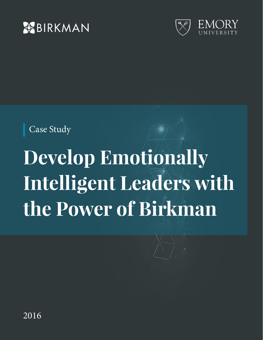



Case Study

# **Develop Emotionally Intelligent Leaders with the Power of Birkman**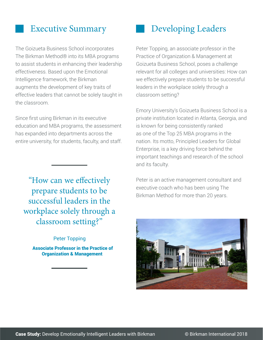#### Executive Summary

The Goizueta Business School incorporates The Birkman Method® into its MBA programs to assist students in enhancing their leadership effectiveness. Based upon the Emotional Intelligence framework, the Birkman augments the development of key traits of effective leaders that cannot be solely taught in the classroom.

Since first using Birkman in its executive education and MBA programs, the assessment has expanded into departments across the entire university, for students, faculty, and staff.

"How can we effectively prepare students to be successful leaders in the workplace solely through a classroom setting?"

#### Peter Topping

 Associate Professor in the Practice of Organization & Management

#### Developing Leaders

Peter Topping, an associate professor in the Practice of Organization & Management at Goizueta Business School, poses a challenge relevant for all colleges and universities: How can we effectively prepare students to be successful leaders in the workplace solely through a classroom setting?

Emory University's Goizueta Business School is a private institution located in Atlanta, Georgia, and is known for being consistently ranked as one of the Top 25 MBA programs in the nation. Its motto, Principled Leaders for Global Enterprise, is a key driving force behind the important teachings and research of the school and its faculty.

Peter is an active management consultant and executive coach who has been using The Birkman Method for more than 20 years.

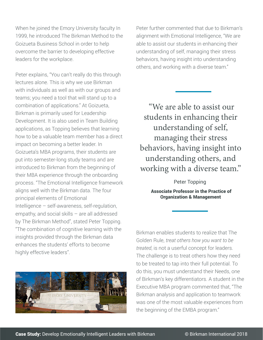When he joined the Emory University faculty In 1999, he introduced The Birkman Method to the Goizueta Business School in order to help overcome the barrier to developing effective leaders for the workplace.

Peter explains, "You can't really do this through lectures alone. This is why we use Birkman with individuals as well as with our groups and teams; you need a tool that will stand up to a combination of applications." At Goizueta, Birkman is primarily used for Leadership Development. It is also used in Team Building applications, as Topping believes that learning how to be a valuable team member has a direct impact on becoming a better leader. In Goizueta's MBA programs, their students are put into semester-long study teams and are introduced to Birkman from the beginning of their MBA experience through the onboarding process. "The Emotional Intelligence framework aligns well with the Birkman data. The four principal elements of Emotional Intelligence – self-awareness, self-regulation, empathy, and social skills – are all addressed by The Birkman Method", stated Peter Topping. "The combination of cognitive learning with the insights provided through the Birkman data enhances the students' efforts to become highly effective leaders".



Peter further commented that due to Birkman's alignment with Emotional Intelligence, "We are able to assist our students in enhancing their understanding of self, managing their stress behaviors, having insight into understanding others, and working with a diverse team."

"We are able to assist our students in enhancing their understanding of self, managing their stress behaviors, having insight into understanding others, and working with a diverse team."

> Peter Topping Associate Professor in the Practice of Organization & Management

Birkman enables students to realize that The Golden Rule, *treat others how you want to be treated*, is not a userful concept for leaders. The challenge is to treat others how they need to be treated to tap into their full potential. To do this, you must understand their Needs, one of Birkman's key differentiators. A student in the Executive MBA program commented that, "The Birkman analysis and application to teamwork was one of the most valuable experiences from the beginning of the EMBA program."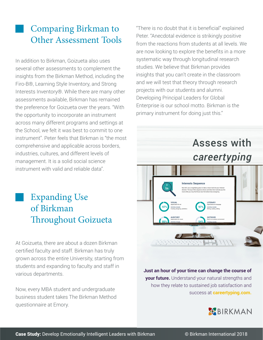### Comparing Birkman to Other Assessment Tools

In addition to Birkman, Goizueta also uses several other assessments to complement the insights from the Birkman Method, including the Firo-B®, Learning Style Inventory, and Strong Interests Inventory®. While there are many other assessments available, Birkman has remained the preference for Goizueta over the years. "With the opportunity to incorporate an instrument across many different programs and settings at the School, we felt it was best to commit to one instrument". Peter feels that Birkman is "the most comprehensive and applicable across borders, industries, cultures, and different levels of management. It is a solid social science instrument with valid and reliable data".

> Expanding Use of Birkman Throughout Goizueta

At Goizueta, there are about a dozen Birkman certified faculty and staff. Birkman has truly grown across the entire University, starting from students and expanding to faculty and staff in various departments.

Now, every MBA student and undergraduate business student takes The Birkman Method questionnaire at Emory.

"There is no doubt that it is beneficial" explained Peter. "Anecdotal evidence is strikingly positive from the reactions from students at all levels. We are now looking to explore the benefits in a more systematic way through longitudinal research studies. We believe that Birkman provides insights that you can't create in the classroom and we will test that theory through research projects with our students and alumni. Developing Principal Leaders for Global Enterprise is our school motto. Birkman is the primary instrument for doing just this."

## Assess with *careertyping*



**Just an hour of your time can change the course of your future.** Understand your natural strengths and how they relate to sustained job satisfaction and success at **careertyping.com.**